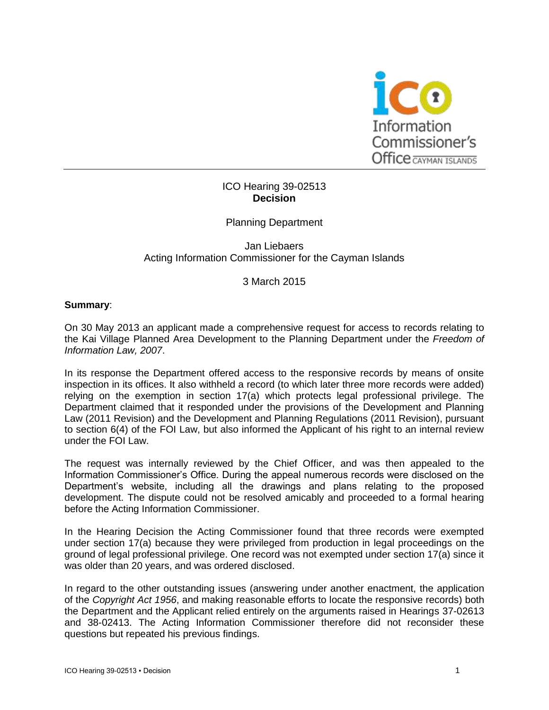

# ICO Hearing 39-02513 **Decision**

Planning Department

Jan Liebaers Acting Information Commissioner for the Cayman Islands

3 March 2015

### **Summary**:

On 30 May 2013 an applicant made a comprehensive request for access to records relating to the Kai Village Planned Area Development to the Planning Department under the *Freedom of Information Law, 2007*.

In its response the Department offered access to the responsive records by means of onsite inspection in its offices. It also withheld a record (to which later three more records were added) relying on the exemption in section 17(a) which protects legal professional privilege. The Department claimed that it responded under the provisions of the Development and Planning Law (2011 Revision) and the Development and Planning Regulations (2011 Revision), pursuant to section 6(4) of the FOI Law, but also informed the Applicant of his right to an internal review under the FOI Law.

The request was internally reviewed by the Chief Officer, and was then appealed to the Information Commissioner's Office. During the appeal numerous records were disclosed on the Department's website, including all the drawings and plans relating to the proposed development. The dispute could not be resolved amicably and proceeded to a formal hearing before the Acting Information Commissioner.

In the Hearing Decision the Acting Commissioner found that three records were exempted under section 17(a) because they were privileged from production in legal proceedings on the ground of legal professional privilege. One record was not exempted under section 17(a) since it was older than 20 years, and was ordered disclosed.

In regard to the other outstanding issues (answering under another enactment, the application of the *Copyright Act 1956*, and making reasonable efforts to locate the responsive records) both the Department and the Applicant relied entirely on the arguments raised in Hearings 37-02613 and 38-02413. The Acting Information Commissioner therefore did not reconsider these questions but repeated his previous findings.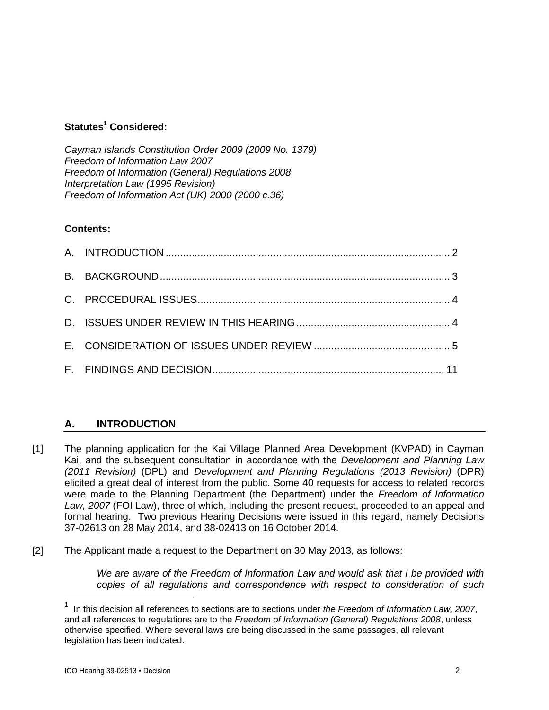# **Statutes<sup>1</sup> Considered:**

*Cayman Islands Constitution Order 2009 (2009 No. 1379) Freedom of Information Law 2007 Freedom of Information (General) Regulations 2008 Interpretation Law (1995 Revision) Freedom of Information Act (UK) 2000 (2000 c.36)*

# **Contents:**

# **A. INTRODUCTION**

- [1] The planning application for the Kai Village Planned Area Development (KVPAD) in Cayman Kai, and the subsequent consultation in accordance with the *Development and Planning Law (2011 Revision)* (DPL) and *Development and Planning Regulations (2013 Revision)* (DPR) elicited a great deal of interest from the public. Some 40 requests for access to related records were made to the Planning Department (the Department) under the *Freedom of Information Law, 2007* (FOI Law), three of which, including the present request, proceeded to an appeal and formal hearing. Two previous Hearing Decisions were issued in this regard, namely Decisions 37-02613 on 28 May 2014, and 38-02413 on 16 October 2014.
- [2] The Applicant made a request to the Department on 30 May 2013, as follows:

*We are aware of the Freedom of Information Law and would ask that I be provided with copies of all regulations and correspondence with respect to consideration of such* 

l

<sup>1</sup> In this decision all references to sections are to sections under *the Freedom of Information Law, 2007*, and all references to regulations are to the *Freedom of Information (General) Regulations 2008*, unless otherwise specified. Where several laws are being discussed in the same passages, all relevant legislation has been indicated.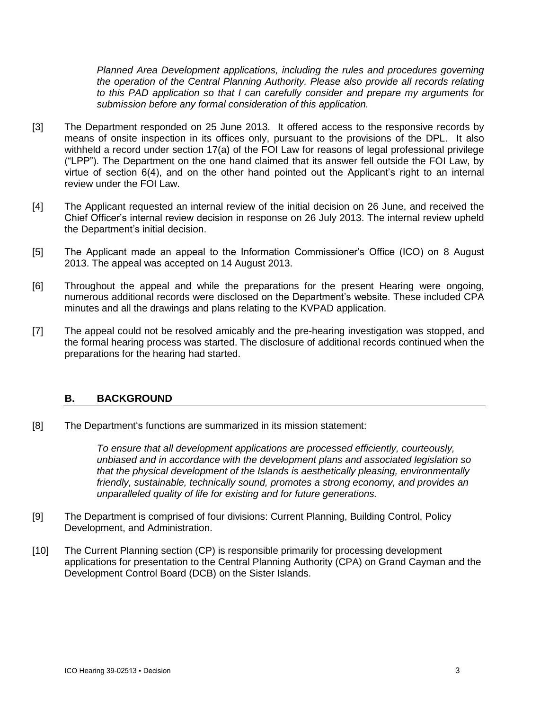*Planned Area Development applications, including the rules and procedures governing the operation of the Central Planning Authority. Please also provide all records relating to this PAD application so that I can carefully consider and prepare my arguments for submission before any formal consideration of this application.* 

- [3] The Department responded on 25 June 2013. It offered access to the responsive records by means of onsite inspection in its offices only, pursuant to the provisions of the DPL. It also withheld a record under section 17(a) of the FOI Law for reasons of legal professional privilege ("LPP"). The Department on the one hand claimed that its answer fell outside the FOI Law, by virtue of section 6(4), and on the other hand pointed out the Applicant's right to an internal review under the FOI Law.
- [4] The Applicant requested an internal review of the initial decision on 26 June, and received the Chief Officer's internal review decision in response on 26 July 2013. The internal review upheld the Department's initial decision.
- [5] The Applicant made an appeal to the Information Commissioner's Office (ICO) on 8 August 2013. The appeal was accepted on 14 August 2013.
- [6] Throughout the appeal and while the preparations for the present Hearing were ongoing, numerous additional records were disclosed on the Department's website. These included CPA minutes and all the drawings and plans relating to the KVPAD application.
- [7] The appeal could not be resolved amicably and the pre-hearing investigation was stopped, and the formal hearing process was started. The disclosure of additional records continued when the preparations for the hearing had started.

# **B. BACKGROUND**

[8] The Department's functions are summarized in its mission statement:

*To ensure that all development applications are processed efficiently, courteously, unbiased and in accordance with the development plans and associated legislation so that the physical development of the Islands is aesthetically pleasing, environmentally friendly, sustainable, technically sound, promotes a strong economy, and provides an unparalleled quality of life for existing and for future generations.*

- [9] The Department is comprised of four divisions: Current Planning, Building Control, Policy Development, and Administration.
- [10] The Current Planning section (CP) is responsible primarily for processing development applications for presentation to the Central Planning Authority (CPA) on Grand Cayman and the Development Control Board (DCB) on the Sister Islands.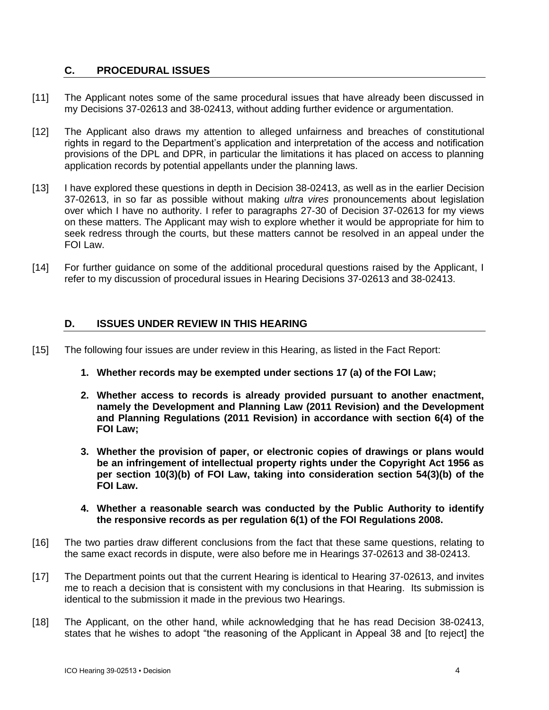# **C. PROCEDURAL ISSUES**

- [11] The Applicant notes some of the same procedural issues that have already been discussed in my Decisions 37-02613 and 38-02413, without adding further evidence or argumentation.
- [12] The Applicant also draws my attention to alleged unfairness and breaches of constitutional rights in regard to the Department's application and interpretation of the access and notification provisions of the DPL and DPR, in particular the limitations it has placed on access to planning application records by potential appellants under the planning laws.
- [13] I have explored these questions in depth in Decision 38-02413, as well as in the earlier Decision 37-02613, in so far as possible without making *ultra vires* pronouncements about legislation over which I have no authority. I refer to paragraphs 27-30 of Decision 37-02613 for my views on these matters. The Applicant may wish to explore whether it would be appropriate for him to seek redress through the courts, but these matters cannot be resolved in an appeal under the FOI Law.
- [14] For further guidance on some of the additional procedural questions raised by the Applicant, I refer to my discussion of procedural issues in Hearing Decisions 37-02613 and 38-02413.

# **D. ISSUES UNDER REVIEW IN THIS HEARING**

- [15] The following four issues are under review in this Hearing, as listed in the Fact Report:
	- **1. Whether records may be exempted under sections 17 (a) of the FOI Law;**
	- **2. Whether access to records is already provided pursuant to another enactment, namely the Development and Planning Law (2011 Revision) and the Development and Planning Regulations (2011 Revision) in accordance with section 6(4) of the FOI Law;**
	- **3. Whether the provision of paper, or electronic copies of drawings or plans would be an infringement of intellectual property rights under the Copyright Act 1956 as per section 10(3)(b) of FOI Law, taking into consideration section 54(3)(b) of the FOI Law.**
	- **4. Whether a reasonable search was conducted by the Public Authority to identify the responsive records as per regulation 6(1) of the FOI Regulations 2008.**
- [16] The two parties draw different conclusions from the fact that these same questions, relating to the same exact records in dispute, were also before me in Hearings 37-02613 and 38-02413.
- [17] The Department points out that the current Hearing is identical to Hearing 37-02613, and invites me to reach a decision that is consistent with my conclusions in that Hearing. Its submission is identical to the submission it made in the previous two Hearings.
- [18] The Applicant, on the other hand, while acknowledging that he has read Decision 38-02413, states that he wishes to adopt "the reasoning of the Applicant in Appeal 38 and [to reject] the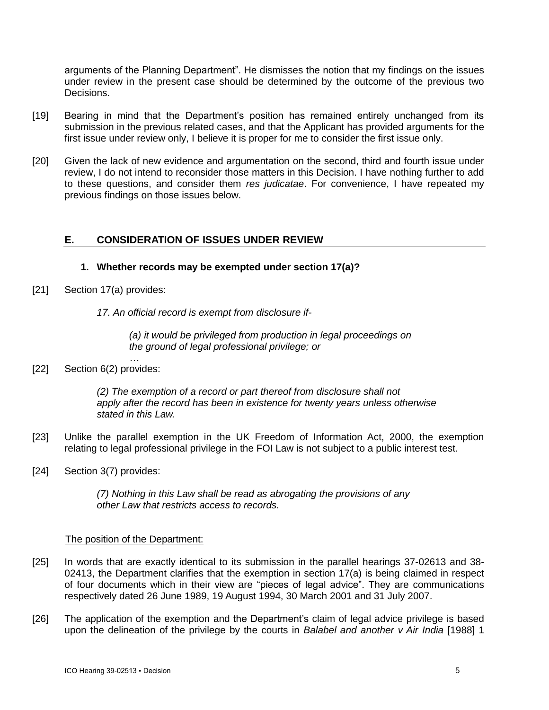arguments of the Planning Department". He dismisses the notion that my findings on the issues under review in the present case should be determined by the outcome of the previous two Decisions.

- [19] Bearing in mind that the Department's position has remained entirely unchanged from its submission in the previous related cases, and that the Applicant has provided arguments for the first issue under review only, I believe it is proper for me to consider the first issue only.
- [20] Given the lack of new evidence and argumentation on the second, third and fourth issue under review, I do not intend to reconsider those matters in this Decision. I have nothing further to add to these questions, and consider them *res judicatae*. For convenience, I have repeated my previous findings on those issues below.

# **E. CONSIDERATION OF ISSUES UNDER REVIEW**

### **1. Whether records may be exempted under section 17(a)?**

[21] Section 17(a) provides:

*17. An official record is exempt from disclosure if-*

*(a) it would be privileged from production in legal proceedings on the ground of legal professional privilege; or*

*…* [22] Section 6(2) provides:

> *(2) The exemption of a record or part thereof from disclosure shall not apply after the record has been in existence for twenty years unless otherwise stated in this Law.*

- [23] Unlike the parallel exemption in the UK Freedom of Information Act, 2000, the exemption relating to legal professional privilege in the FOI Law is not subject to a public interest test.
- [24] Section 3(7) provides:

*(7) Nothing in this Law shall be read as abrogating the provisions of any other Law that restricts access to records.*

#### The position of the Department:

- [25] In words that are exactly identical to its submission in the parallel hearings 37-02613 and 38- 02413, the Department clarifies that the exemption in section 17(a) is being claimed in respect of four documents which in their view are "pieces of legal advice". They are communications respectively dated 26 June 1989, 19 August 1994, 30 March 2001 and 31 July 2007.
- [26] The application of the exemption and the Department's claim of legal advice privilege is based upon the delineation of the privilege by the courts in *Balabel and another v Air India* [1988] 1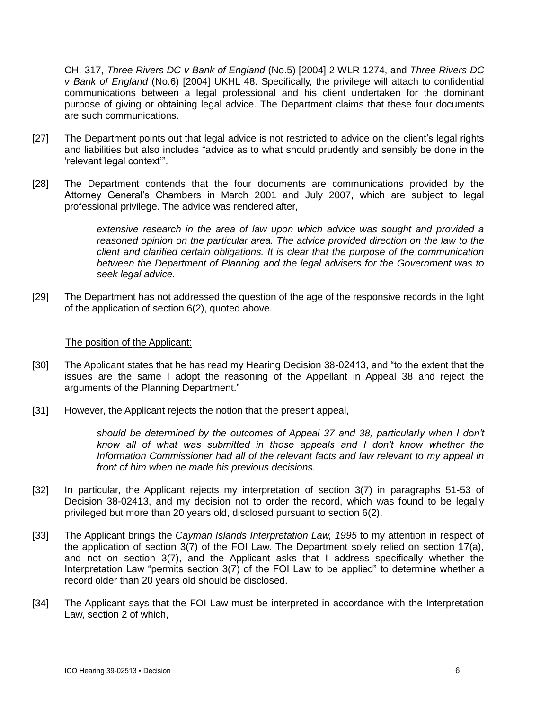CH. 317, *Three Rivers DC v Bank of England* (No.5) [2004] 2 WLR 1274, and *Three Rivers DC v Bank of England* (No.6) [2004] UKHL 48. Specifically, the privilege will attach to confidential communications between a legal professional and his client undertaken for the dominant purpose of giving or obtaining legal advice. The Department claims that these four documents are such communications.

- [27] The Department points out that legal advice is not restricted to advice on the client's legal rights and liabilities but also includes "advice as to what should prudently and sensibly be done in the 'relevant legal context'".
- [28] The Department contends that the four documents are communications provided by the Attorney General's Chambers in March 2001 and July 2007, which are subject to legal professional privilege. The advice was rendered after,

*extensive research in the area of law upon which advice was sought and provided a reasoned opinion on the particular area. The advice provided direction on the law to the client and clarified certain obligations. It is clear that the purpose of the communication between the Department of Planning and the legal advisers for the Government was to seek legal advice.*

[29] The Department has not addressed the question of the age of the responsive records in the light of the application of section 6(2), quoted above.

### The position of the Applicant:

- [30] The Applicant states that he has read my Hearing Decision 38-02413, and "to the extent that the issues are the same I adopt the reasoning of the Appellant in Appeal 38 and reject the arguments of the Planning Department."
- [31] However, the Applicant rejects the notion that the present appeal,

*should be determined by the outcomes of Appeal 37 and 38, particularly when I don't know all of what was submitted in those appeals and I don't know whether the Information Commissioner had all of the relevant facts and law relevant to my appeal in front of him when he made his previous decisions.*

- [32] In particular, the Applicant rejects my interpretation of section 3(7) in paragraphs 51-53 of Decision 38-02413, and my decision not to order the record, which was found to be legally privileged but more than 20 years old, disclosed pursuant to section 6(2).
- [33] The Applicant brings the *Cayman Islands Interpretation Law, 1995* to my attention in respect of the application of section 3(7) of the FOI Law. The Department solely relied on section 17(a), and not on section 3(7), and the Applicant asks that I address specifically whether the Interpretation Law "permits section 3(7) of the FOI Law to be applied" to determine whether a record older than 20 years old should be disclosed.
- [34] The Applicant says that the FOI Law must be interpreted in accordance with the Interpretation Law, section 2 of which,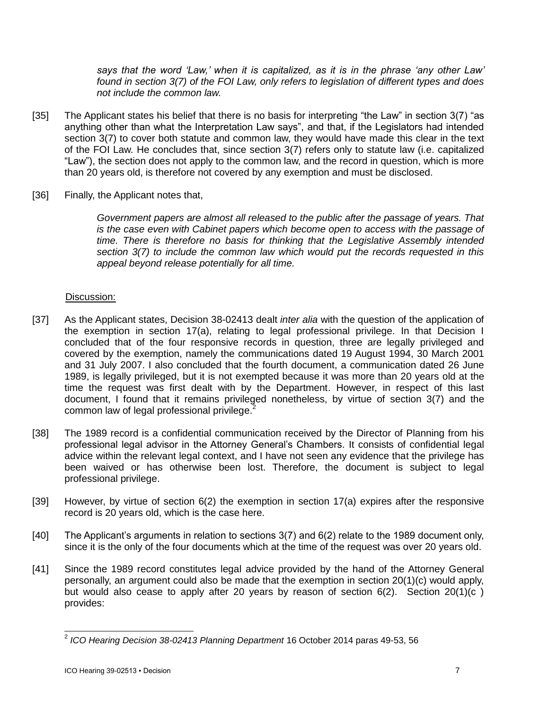*says that the word 'Law,' when it is capitalized, as it is in the phrase 'any other Law' found in section 3(7) of the FOI Law, only refers to legislation of different types and does not include the common law.*

- [35] The Applicant states his belief that there is no basis for interpreting "the Law" in section 3(7) "as anything other than what the Interpretation Law says", and that, if the Legislators had intended section 3(7) to cover both statute and common law, they would have made this clear in the text of the FOI Law. He concludes that, since section 3(7) refers only to statute law (i.e. capitalized "Law"), the section does not apply to the common law, and the record in question, which is more than 20 years old, is therefore not covered by any exemption and must be disclosed.
- [36] Finally, the Applicant notes that,

*Government papers are almost all released to the public after the passage of years. That is the case even with Cabinet papers which become open to access with the passage of time. There is therefore no basis for thinking that the Legislative Assembly intended section 3(7) to include the common law which would put the records requested in this appeal beyond release potentially for all time.*

# Discussion:

- [37] As the Applicant states, Decision 38-02413 dealt *inter alia* with the question of the application of the exemption in section 17(a), relating to legal professional privilege. In that Decision I concluded that of the four responsive records in question, three are legally privileged and covered by the exemption, namely the communications dated 19 August 1994, 30 March 2001 and 31 July 2007. I also concluded that the fourth document, a communication dated 26 June 1989, is legally privileged, but it is not exempted because it was more than 20 years old at the time the request was first dealt with by the Department. However, in respect of this last document, I found that it remains privileged nonetheless, by virtue of section 3(7) and the common law of legal professional privilege.<sup>2</sup>
- [38] The 1989 record is a confidential communication received by the Director of Planning from his professional legal advisor in the Attorney General's Chambers. It consists of confidential legal advice within the relevant legal context, and I have not seen any evidence that the privilege has been waived or has otherwise been lost. Therefore, the document is subject to legal professional privilege.
- [39] However, by virtue of section 6(2) the exemption in section 17(a) expires after the responsive record is 20 years old, which is the case here.
- [40] The Applicant's arguments in relation to sections 3(7) and 6(2) relate to the 1989 document only, since it is the only of the four documents which at the time of the request was over 20 years old.
- [41] Since the 1989 record constitutes legal advice provided by the hand of the Attorney General personally, an argument could also be made that the exemption in section 20(1)(c) would apply, but would also cease to apply after 20 years by reason of section 6(2). Section 20(1)(c ) provides:

 $\overline{a}$ 2 *ICO Hearing Decision 38-02413 Planning Department* 16 October 2014 paras 49-53, 56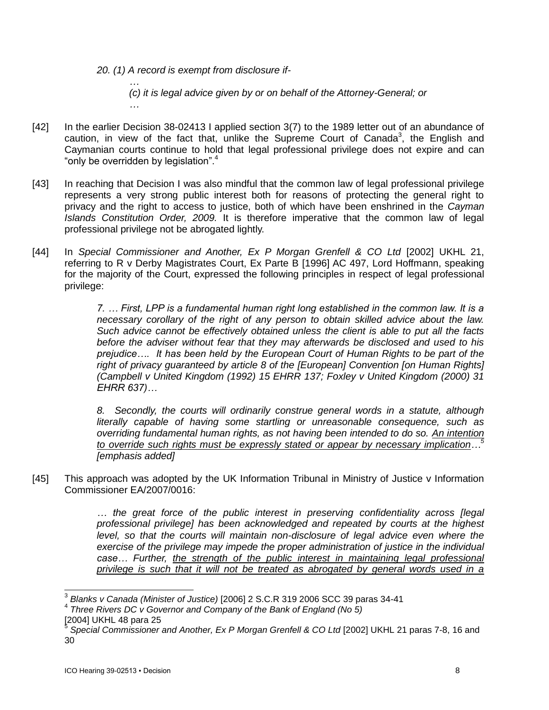*20. (1) A record is exempt from disclosure if-*

*… (c) it is legal advice given by or on behalf of the Attorney-General; or …*

- [42] In the earlier Decision 38-02413 I applied section 3(7) to the 1989 letter out of an abundance of caution, in view of the fact that, unlike the Supreme Court of Canada<sup>3</sup>, the English and Caymanian courts continue to hold that legal professional privilege does not expire and can "only be overridden by legislation".<sup>4</sup>
- [43] In reaching that Decision I was also mindful that the common law of legal professional privilege represents a very strong public interest both for reasons of protecting the general right to privacy and the right to access to justice, both of which have been enshrined in the *Cayman Islands Constitution Order, 2009.* It is therefore imperative that the common law of legal professional privilege not be abrogated lightly.
- [44] In *Special Commissioner and Another, Ex P Morgan Grenfell & CO Ltd* [2002] UKHL 21, referring to R v Derby Magistrates Court, Ex Parte B [1996] AC 497, Lord Hoffmann, speaking for the majority of the Court, expressed the following principles in respect of legal professional privilege:

*7. … First, LPP is a fundamental human right long established in the common law. It is a necessary corollary of the right of any person to obtain skilled advice about the law. Such advice cannot be effectively obtained unless the client is able to put all the facts before the adviser without fear that they may afterwards be disclosed and used to his prejudice…. It has been held by the European Court of Human Rights to be part of the right of privacy guaranteed by article 8 of the [European] Convention [on Human Rights] (Campbell v United Kingdom (1992) 15 EHRR 137; Foxley v United Kingdom (2000) 31 EHRR 637)…*

*8. Secondly, the courts will ordinarily construe general words in a statute, although literally capable of having some startling or unreasonable consequence, such as overriding fundamental human rights, as not having been intended to do so. An intention to override such rights must be expressly stated or appear by necessary implication…<sup>5</sup> [emphasis added]*

[45] This approach was adopted by the UK Information Tribunal in Ministry of Justice v Information Commissioner EA/2007/0016:

> *… the great force of the public interest in preserving confidentiality across [legal professional privilege] has been acknowledged and repeated by courts at the highest level, so that the courts will maintain non-disclosure of legal advice even where the exercise of the privilege may impede the proper administration of justice in the individual*  case... Further, the strength of the public interest in maintaining legal professional *privilege is such that it will not be treated as abrogated by general words used in a*

l

<sup>3</sup> *Blanks v Canada (Minister of Justice)* [2006] 2 S.C.R 319 2006 SCC 39 paras 34-41

<sup>4</sup> *Three Rivers DC v Governor and Company of the Bank of England (No 5)* [2004] UKHL 48 para 25 5

*Special Commissioner and Another, Ex P Morgan Grenfell & CO Ltd* [2002] UKHL 21 paras 7-8, 16 and 30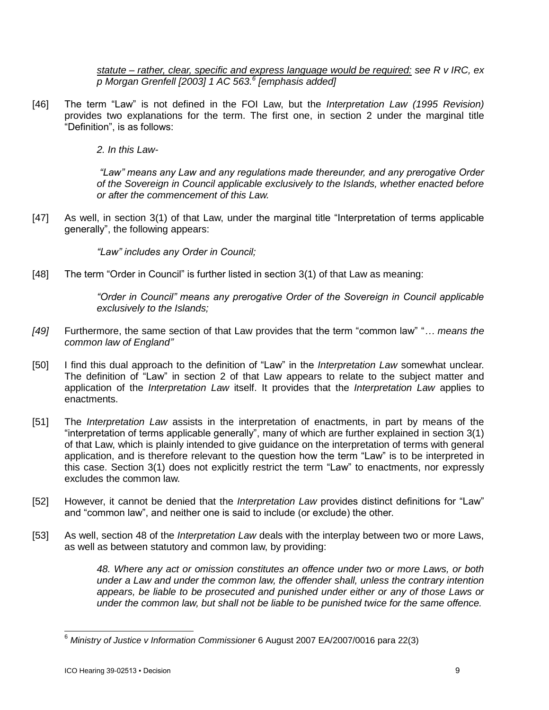*statute – rather, clear, specific and express language would be required: see R v IRC, ex p Morgan Grenfell [2003] 1 AC 563.<sup>6</sup> [emphasis added]*

[46] The term "Law" is not defined in the FOI Law, but the *Interpretation Law (1995 Revision)* provides two explanations for the term. The first one, in section 2 under the marginal title "Definition", is as follows:

*2. In this Law-*

*"Law" means any Law and any regulations made thereunder, and any prerogative Order of the Sovereign in Council applicable exclusively to the Islands, whether enacted before or after the commencement of this Law.*

[47] As well, in section 3(1) of that Law, under the marginal title "Interpretation of terms applicable generally", the following appears:

*"Law" includes any Order in Council;*

[48] The term "Order in Council" is further listed in section 3(1) of that Law as meaning:

*"Order in Council" means any prerogative Order of the Sovereign in Council applicable exclusively to the Islands;*

- *[49]* Furthermore, the same section of that Law provides that the term "common law" "*… means the common law of England"*
- [50] I find this dual approach to the definition of "Law" in the *Interpretation Law* somewhat unclear. The definition of "Law" in section 2 of that Law appears to relate to the subject matter and application of the *Interpretation Law* itself. It provides that the *Interpretation Law* applies to enactments.
- [51] The *Interpretation Law* assists in the interpretation of enactments, in part by means of the "interpretation of terms applicable generally", many of which are further explained in section 3(1) of that Law, which is plainly intended to give guidance on the interpretation of terms with general application, and is therefore relevant to the question how the term "Law" is to be interpreted in this case. Section 3(1) does not explicitly restrict the term "Law" to enactments, nor expressly excludes the common law.
- [52] However, it cannot be denied that the *Interpretation Law* provides distinct definitions for "Law" and "common law", and neither one is said to include (or exclude) the other.
- [53] As well, section 48 of the *Interpretation Law* deals with the interplay between two or more Laws, as well as between statutory and common law, by providing:

*48. Where any act or omission constitutes an offence under two or more Laws, or both under a Law and under the common law, the offender shall, unless the contrary intention appears, be liable to be prosecuted and punished under either or any of those Laws or under the common law, but shall not be liable to be punished twice for the same offence.*

 $\overline{a}$ <sup>6</sup> *Ministry of Justice v Information Commissioner* 6 August 2007 EA/2007/0016 para 22(3)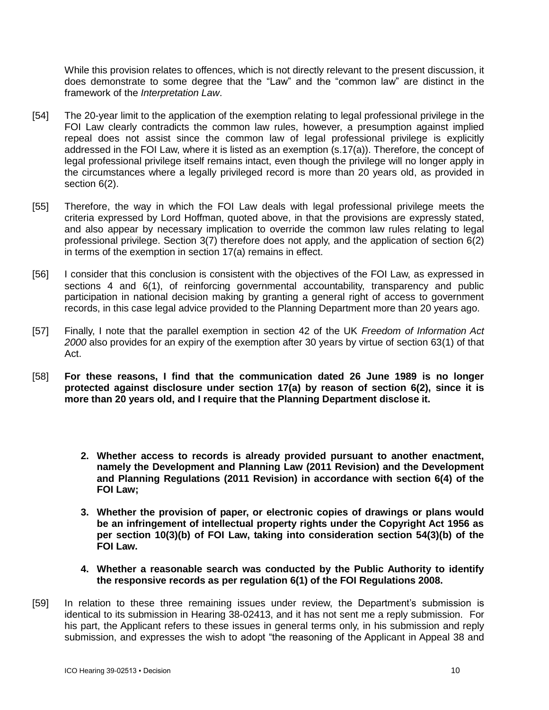While this provision relates to offences, which is not directly relevant to the present discussion, it does demonstrate to some degree that the "Law" and the "common law" are distinct in the framework of the *Interpretation Law*.

- [54] The 20-year limit to the application of the exemption relating to legal professional privilege in the FOI Law clearly contradicts the common law rules, however, a presumption against implied repeal does not assist since the common law of legal professional privilege is explicitly addressed in the FOI Law, where it is listed as an exemption (s.17(a)). Therefore, the concept of legal professional privilege itself remains intact, even though the privilege will no longer apply in the circumstances where a legally privileged record is more than 20 years old, as provided in section 6(2).
- [55] Therefore, the way in which the FOI Law deals with legal professional privilege meets the criteria expressed by Lord Hoffman, quoted above, in that the provisions are expressly stated, and also appear by necessary implication to override the common law rules relating to legal professional privilege. Section 3(7) therefore does not apply, and the application of section 6(2) in terms of the exemption in section 17(a) remains in effect.
- [56] I consider that this conclusion is consistent with the objectives of the FOI Law, as expressed in sections 4 and 6(1), of reinforcing governmental accountability, transparency and public participation in national decision making by granting a general right of access to government records, in this case legal advice provided to the Planning Department more than 20 years ago.
- [57] Finally, I note that the parallel exemption in section 42 of the UK *Freedom of Information Act 2000* also provides for an expiry of the exemption after 30 years by virtue of section 63(1) of that Act.
- [58] **For these reasons, I find that the communication dated 26 June 1989 is no longer protected against disclosure under section 17(a) by reason of section 6(2), since it is more than 20 years old, and I require that the Planning Department disclose it.** 
	- **2. Whether access to records is already provided pursuant to another enactment, namely the Development and Planning Law (2011 Revision) and the Development and Planning Regulations (2011 Revision) in accordance with section 6(4) of the FOI Law;**
	- **3. Whether the provision of paper, or electronic copies of drawings or plans would be an infringement of intellectual property rights under the Copyright Act 1956 as per section 10(3)(b) of FOI Law, taking into consideration section 54(3)(b) of the FOI Law.**
	- **4. Whether a reasonable search was conducted by the Public Authority to identify the responsive records as per regulation 6(1) of the FOI Regulations 2008.**
- [59] In relation to these three remaining issues under review, the Department's submission is identical to its submission in Hearing 38-02413, and it has not sent me a reply submission. For his part, the Applicant refers to these issues in general terms only, in his submission and reply submission, and expresses the wish to adopt "the reasoning of the Applicant in Appeal 38 and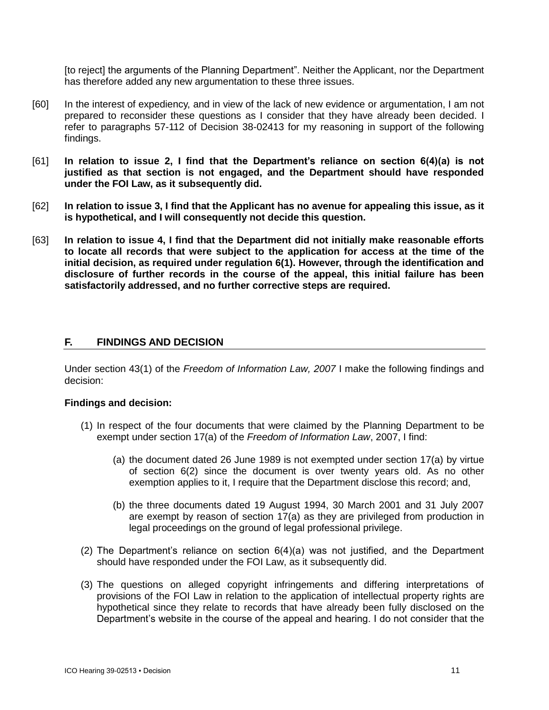[to reject] the arguments of the Planning Department". Neither the Applicant, nor the Department has therefore added any new argumentation to these three issues.

- [60] In the interest of expediency, and in view of the lack of new evidence or argumentation, I am not prepared to reconsider these questions as I consider that they have already been decided. I refer to paragraphs 57-112 of Decision 38-02413 for my reasoning in support of the following findings.
- [61] **In relation to issue 2, I find that the Department's reliance on section 6(4)(a) is not justified as that section is not engaged, and the Department should have responded under the FOI Law, as it subsequently did.**
- [62] **In relation to issue 3, I find that the Applicant has no avenue for appealing this issue, as it is hypothetical, and I will consequently not decide this question.**
- [63] **In relation to issue 4, I find that the Department did not initially make reasonable efforts to locate all records that were subject to the application for access at the time of the initial decision, as required under regulation 6(1). However, through the identification and disclosure of further records in the course of the appeal, this initial failure has been satisfactorily addressed, and no further corrective steps are required.**

# **F. FINDINGS AND DECISION**

Under section 43(1) of the *Freedom of Information Law, 2007* I make the following findings and decision:

#### **Findings and decision:**

- (1) In respect of the four documents that were claimed by the Planning Department to be exempt under section 17(a) of the *Freedom of Information Law*, 2007, I find:
	- (a) the document dated 26 June 1989 is not exempted under section 17(a) by virtue of section 6(2) since the document is over twenty years old. As no other exemption applies to it, I require that the Department disclose this record; and,
	- (b) the three documents dated 19 August 1994, 30 March 2001 and 31 July 2007 are exempt by reason of section 17(a) as they are privileged from production in legal proceedings on the ground of legal professional privilege.
- (2) The Department's reliance on section 6(4)(a) was not justified, and the Department should have responded under the FOI Law, as it subsequently did.
- (3) The questions on alleged copyright infringements and differing interpretations of provisions of the FOI Law in relation to the application of intellectual property rights are hypothetical since they relate to records that have already been fully disclosed on the Department's website in the course of the appeal and hearing. I do not consider that the